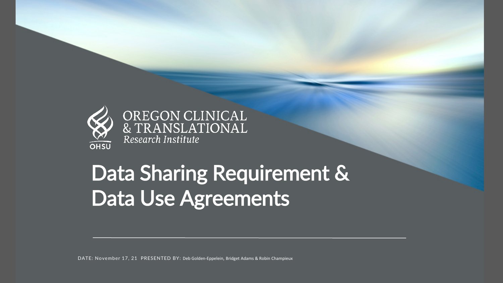

OREGON CLINICAL<br>& TRANSLATIONAL Research Institute

# Data Sharing Requirement & Data Use Agreements

DATE: November 17, 21 PRESENTED BY: Deb Golden-Eppelein, Bridget Adams & Robin Champieux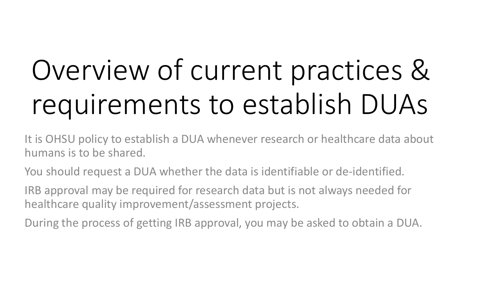# Overview of current practices & requirements to establish DUAs

It is OHSU policy to establish a DUA whenever research or healthcare data about humans is to be shared.

You should request a DUA whether the data is identifiable or de-identified.

IRB approval may be required for research data but is not always needed for healthcare quality improvement/assessment projects.

During the process of getting IRB approval, you may be asked to obtain a DUA.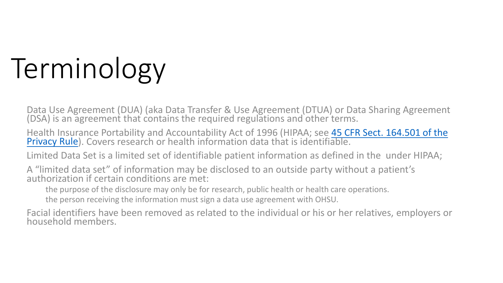# Terminology

Data Use Agreement (DUA) (aka Data Transfer & Use Agreement (DTUA) or Data Sharing Agreement (DSA) is an agreement that contains the required regulations and other terms.

Health Insurance Portability and Accountability Act of 1996 (HIPAA; see 45 CFR Sect. 164.501 of the Privacy Rule). Covers research or health information data that is identifiable.

Limited Data Set is a limited set of identifiable patient information as defined in the under HIPAA;

A "limited data set" of information may be disclosed to an outside party without a patient's authorization if certain conditions are met:

the purpose of the disclosure may only be for research, public health or health care operations.

the person receiving the information must sign a data use agreement with OHSU.

Facial identifiers have been removed as related to the individual or his or her relatives, employers or<br>household members.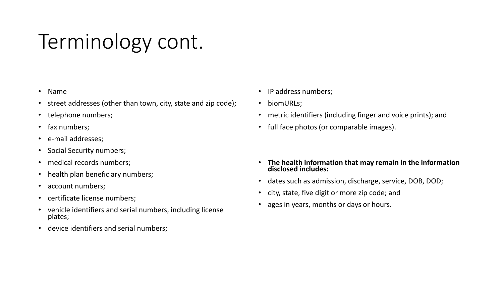# Terminology cont.

- Name
- street addresses (other than town, city, state and zip code);
- telephone numbers;
- fax numbers;
- e-mail addresses;
- Social Security numbers;
- medical records numbers;
- health plan beneficiary numbers;
- account numbers;
- certificate license numbers;
- vehicle identifiers and serial numbers, including license plates;
- device identifiers and serial numbers;
- IP address numbers;
- biomURLs;
- metric identifiers (including finger and voice prints); and
- full face photos (or comparable images).
- **The health information that may remain in the information disclosed includes:**
- dates such as admission, discharge, service, DOB, DOD;
- city, state, five digit or more zip code; and
- ages in years, months or days or hours.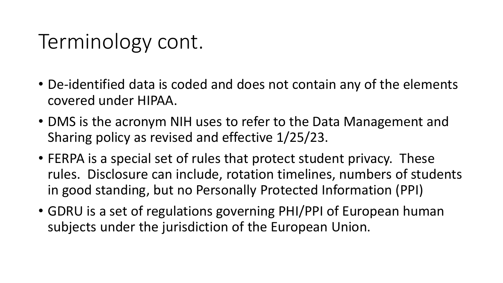# Terminology cont.

- De-identified data is coded and does not contain any of the elements covered under HIPAA.
- DMS is the acronym NIH uses to refer to the Data Management and Sharing policy as revised and effective 1/25/23.
- FERPA is a special set of rules that protect student privacy. These rules. Disclosure can include, rotation timelines, numbers of students in good standing, but no Personally Protected Information (PPI)
- GDRU is a set of regulations governing PHI/PPI of European human subjects under the jurisdiction of the European Union.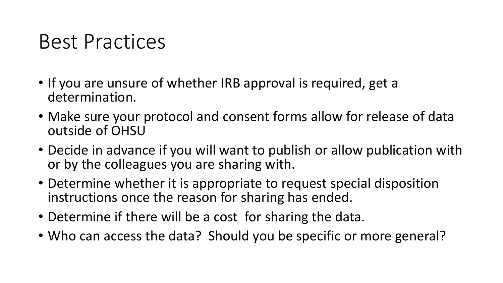### Best Practices

- If you are unsure of whether IRB approval is required, get a determination.
- Make sure your protocol and consent forms allow for release of data outside of OHSU
- Decide in advance if you will want to publish or allow publication with or by the colleagues you are sharing with.
- Determine whether it is appropriate to request special disposition instructions once the reason for sharing has ended.
- Determine if there will be a cost for sharing the data.
- Who can access the data? Should you be specific or more general?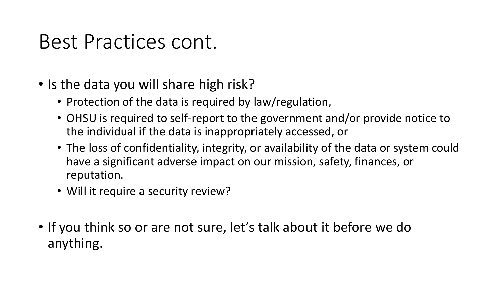### Best Practices cont.

- Is the data you will share high risk?
	- Protection of the data is required by law/regulation,
	- OHSU is required to self-report to the government and/or provide notice to the individual if the data is inappropriately accessed, or
	- The loss of confidentiality, integrity, or availability of the data or system could have a significant adverse impact on our mission, safety, finances, or reputation.
	- Will it require a security review?
- If you think so or are not sure, let's talk about it before we do anything.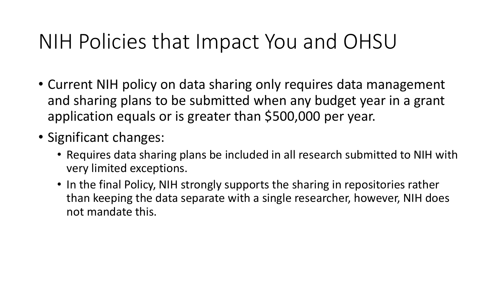## NIH Policies that Impact You and OHSU

- Current NIH policy on data sharing only requires data management and sharing plans to be submitted when any budget year in a grant application equals or is greater than \$500,000 per year.
- Significant changes:
	- Requires data sharing plans be included in all research submitted to NIH with very limited exceptions.
	- In the final Policy, NIH strongly supports the sharing in repositories rather than keeping the data separate with a single researcher, however, NIH does not mandate this.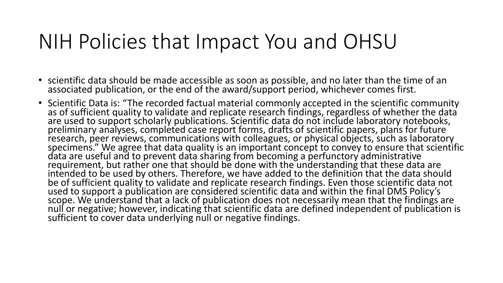### NIH Policies that Impact You and OHSU

- scientific data should be made accessible as soon as possible, and no later than the time of an associated publication, or the end of the award/support period, whichever comes first.
- Scientific Data is: "The recorded factual material commonly accepted in the scientific community<br>as of sufficient quality to validate and replicate research findings, regardless of whether the data are used to support scholarly publications. Scientific data do not include laboratory notebooks, preliminary analyses, completed case report forms, drafts of scientific papers, plans for future research, peer reviews, communications with colleagues, or physical objects, such as laboratory specimens." We agree that data quality is an important concept to convey to ensure that scientific data are useful and to prevent data sharing from becoming a perfunctory administrative requirement, but rather one that should be done with the understanding that these data are intended to be used by others. Therefore, we have added to the definition that the data should be of sufficient quality to validate and replicate research findings. Even those scientific data not used to support a publication are considered scientific data and within the final DMS Policy's scope. We understand that a lack of publication does not necessarily mean that the findings are null or negative; however, indicating that scientific data are defined independent of publication is sufficient to cover data underlying null or negative findings.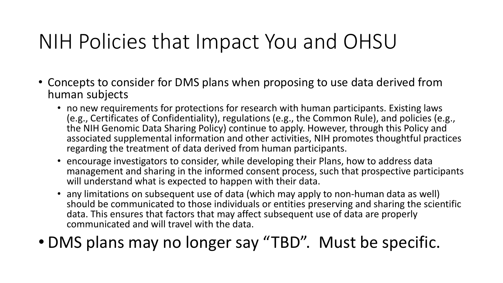# NIH Policies that Impact You and OHSU

- Concepts to consider for DMS plans when proposing to use data derived from human subjects
	- no new requirements for protections for research with human participants. Existing laws (e.g., Certificates of Confidentiality), regulations (e.g., the Common Rule), and policies (e.g., the NIH Genomic Data Sharing Policy) continue to apply. However, through this Policy and associated supplemental information and other activities, NIH promotes thoughtful practices regarding the treatment of data derived from human participants.
	- encourage investigators to consider, while developing their Plans, how to address data management and sharing in the informed consent process, such that prospective participants will understand what is expected to happen with their data.
	- any limitations on subsequent use of data (which may apply to non-human data as well) should be communicated to those individuals or entities preserving and sharing the scientific data. This ensures that factors that may affect subsequent use of data are properly communicated and will travel with the data.

#### • DMS plans may no longer say "TBD". Must be specific.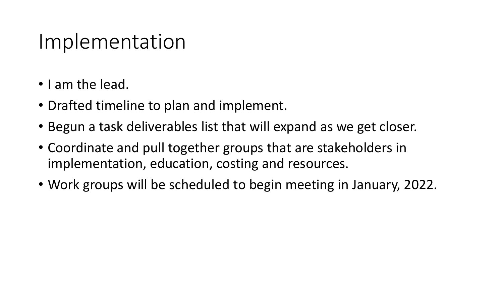#### Implementation

- I am the lead.
- Drafted timeline to plan and implement.
- Begun a task deliverables list that will expand as we get closer.
- Coordinate and pull together groups that are stakeholders in implementation, education, costing and resources.
- Work groups will be scheduled to begin meeting in January, 2022.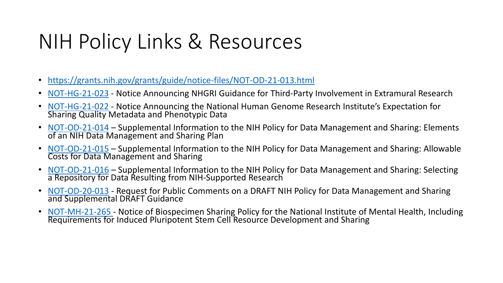# NIH Policy Links & Resources

- <https://grants.nih.gov/grants/guide/notice-files/NOT-OD-21-013.html>
- [NOT-HG-21-023](https://grants.nih.gov/grants/guide/notice-files/NOT-HG-21-023.html) Notice Announcing NHGRI Guidance for Third-Party Involvement in Extramural Research
- NOT-HG-21-022 Notice Announcing the National Human Genome Research Institute's Expectation for [Sharing Quality M](https://grants.nih.gov/grants/guide/notice-files/NOT-HG-21-022.html)etadata and Phenotypic Data
- [NOT-OD-21-014](https://grants.nih.gov/grants/guide/notice-files/NOT-OD-21-014.html) Supplemental Information to the NIH Policy for Data Management and Sharing: Elements of an NIH Data Management and Sharing Plan
- [NOT-OD-21-015](https://grants.nih.gov/grants/guide/notice-files/NOT-OD-21-015.html) Supplemental Information to the NIH Policy for Data Management and Sharing: Allowable Costs for Data Management and Sharing
- [NOT-OD-21-016](https://grants.nih.gov/grants/guide/notice-files/NOT-OD-21-016.html) Supplemental Information to the NIH Policy for Data Management and Sharing: Selecting a Repository for Data Resulting from NIH-Supported Research
- [NOT-OD-20-013](https://grants.nih.gov/grants/guide/notice-files/NOT-OD-20-013.html) Request for Public Comments on a DRAFT NIH Policy for Data Management and Sharing and Supplemental DRAFT Guidance
- NOT-MH-21-265 Notice of Biospecimen Sharing Policy for the National Institute of Mental Health, Including [Requirements for](https://grants.nih.gov/grants/guide/notice-files/NOT-MH-21-265.html) Induced Pluripotent Stem Cell Resource Development and Sharing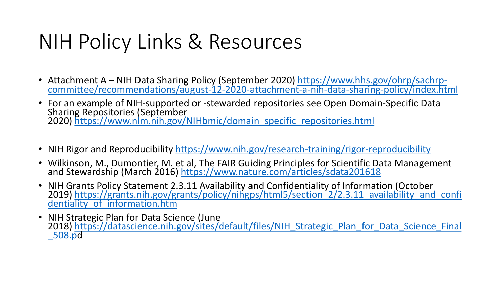# NIH Policy Links & Resources

- Attachment A NIH Data Sharing Policy (September 2020) https://www.hhs.gov/ohrp/sachrp-<br>[committee/recommendations/august-12-2020-attachment-a-nih-data-sharing-policy/index.html](https://www.hhs.gov/ohrp/sachrp-committee/recommendations/august-12-2020-attachment-a-nih-data-sharing-policy/index.html)
- For an example of NIH-supported or -stewarded repositories see Open Domain-Specific Data Sharing Repositories (September 2020) [https://www.nlm.nih.gov/NIHbmic/domain\\_specific\\_repositories.html](https://www.nlm.nih.gov/NIHbmic/domain_specific_repositories.html)
- NIH Rigor and Reproducibility <https://www.nih.gov/research-training/rigor-reproducibility>
- Wilkinson, M., Dumontier, M. e[t al, The FAIR Guiding Principles for Scientific Da](https://www.nature.com/articles/sdata201618)ta Management and Stewardship (March 2016) https://www.nature.com/articles/sdata201618
- [NIH Grants Policy Statement 2.3.11 Availability and Confidentiality of Information \(October 2019\)](https://grants.nih.gov/grants/policy/nihgps/html5/section_2/2.3.11_availability_and_confidentiality_of_information.htm) https://grants.nih.gov/grants/policy/nihgps/html5/section 2/2.3.11 availability\_and\_confi dentiality\_of\_information.htm
- NIH Strategic Plan for Data Science (June<br>2018) [https://datascience.nih.gov/sites/default/files/NIH\\_Strategic\\_Plan\\_for\\_Data\\_Science\\_Final](https://datascience.nih.gov/sites/default/files/NIH_Strategic_Plan_for_Data_Science_Final_508.pdf) \_508.pd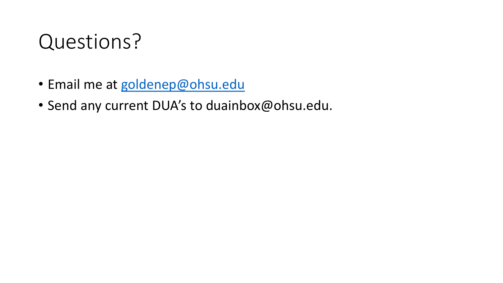## Questions?

- Email me at [goldenep@ohsu.edu](mailto:goldenep@ohsu.edu)
- Send any current DUA's to duainbox@ohsu.edu.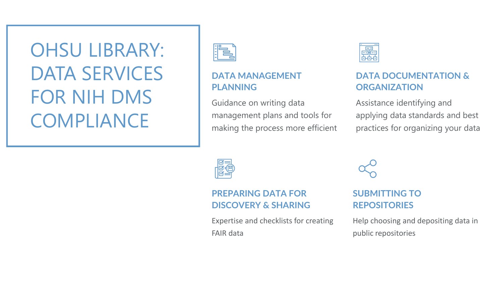## OHSU LIBRARY: DATA SERVICES FOR NIH DMS COMPLIANCE



#### **DATA MANAGEMENT PLANNING**

Guidance on writing data management plans and tools for making the process more efficient



#### **DATA DOCUMENTATION & ORGANIZATION**

Assistance identifying and applying data standards and best practices for organizing your data



#### **PREPARING DATA FOR DISCOVERY & SHARING**

Expertise and checklists for creating FAIR data

#### **SUBMITTING TO REPOSITORIES**

Help choosing and depositing data in public repositories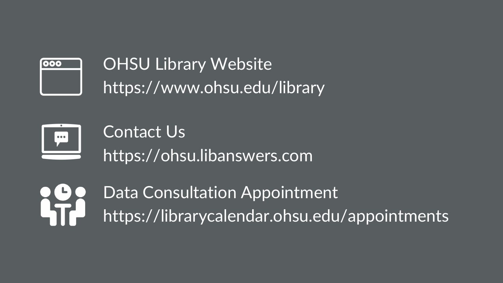

**OHSU Library Website** https://www.ohsu.edu/library



Contact Us https://ohsu.libanswers.com

Data Consultation Appointment LT https://librarycalendar.ohsu.edu/appointments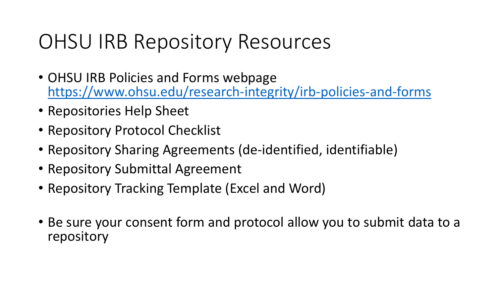# OHSU IRB Repository Resources

- OHSU IRB Policies and Forms webpage <https://www.ohsu.edu/research-integrity/irb-policies-and-forms>
- Repositories Help Sheet
- Repository Protocol Checklist
- Repository Sharing Agreements (de-identified, identifiable)
- Repository Submittal Agreement
- Repository Tracking Template (Excel and Word)
- Be sure your consent form and protocol allow you to submit data to a repository